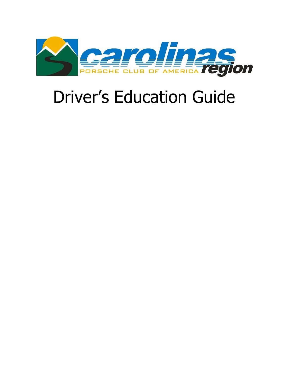

# Driver's Education Guide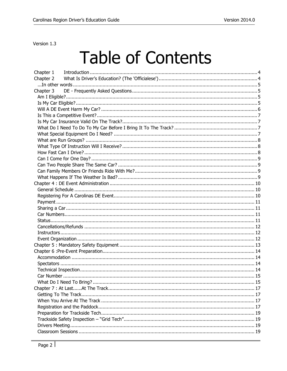Version 1.3

# **Table of Contents**

| Chapter 1 |  |  |  |
|-----------|--|--|--|
| Chapter 2 |  |  |  |
|           |  |  |  |
| Chapter 3 |  |  |  |
|           |  |  |  |
|           |  |  |  |
|           |  |  |  |
|           |  |  |  |
|           |  |  |  |
|           |  |  |  |
|           |  |  |  |
|           |  |  |  |
|           |  |  |  |
|           |  |  |  |
|           |  |  |  |
|           |  |  |  |
|           |  |  |  |
|           |  |  |  |
|           |  |  |  |
|           |  |  |  |
|           |  |  |  |
|           |  |  |  |
|           |  |  |  |
|           |  |  |  |
|           |  |  |  |
|           |  |  |  |
|           |  |  |  |
|           |  |  |  |
|           |  |  |  |
|           |  |  |  |
|           |  |  |  |
|           |  |  |  |
|           |  |  |  |
|           |  |  |  |
|           |  |  |  |
|           |  |  |  |
|           |  |  |  |
|           |  |  |  |
|           |  |  |  |
|           |  |  |  |
|           |  |  |  |
|           |  |  |  |
|           |  |  |  |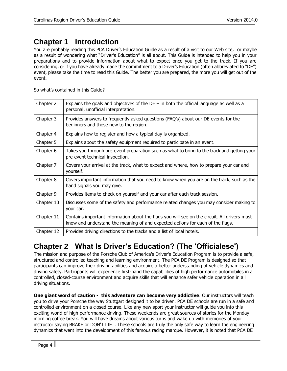# <span id="page-3-0"></span>**Chapter 1 Introduction**

You are probably reading this PCA Driver's Education Guide as a result of a visit to our Web site, or maybe as a result of wondering what "Driver's Education" is all about. This Guide is intended to help you in your preparations and to provide information about what to expect once you get to the track. If you are considering, or if you have already made the commitment to a Driver's Education (often abbreviated to "DE") event, please take the time to read this Guide. The better you are prepared, the more you will get out of the event.

So what's contained in this Guide?

| Chapter 2  | Explains the goals and objectives of the $DE - in$ both the official language as well as a<br>personal, unofficial interpretation.                                             |
|------------|--------------------------------------------------------------------------------------------------------------------------------------------------------------------------------|
| Chapter 3  | Provides answers to frequently asked questions (FAQ's) about our DE events for the<br>beginners and those new to the region.                                                   |
| Chapter 4  | Explains how to register and how a typical day is organized.                                                                                                                   |
| Chapter 5  | Explains about the safety equipment required to participate in an event.                                                                                                       |
| Chapter 6  | Takes you through pre-event preparation such as what to bring to the track and getting your<br>pre-event technical inspection.                                                 |
| Chapter 7  | Covers your arrival at the track, what to expect and where, how to prepare your car and<br>yourself.                                                                           |
| Chapter 8  | Covers important information that you need to know when you are on the track, such as the<br>hand signals you may give.                                                        |
| Chapter 9  | Provides items to check on yourself and your car after each track session.                                                                                                     |
| Chapter 10 | Discusses some of the safety and performance related changes you may consider making to<br>your car.                                                                           |
| Chapter 11 | Contains important information about the flags you will see on the circuit. All drivers must<br>know and understand the meaning of and expected actions for each of the flags. |
| Chapter 12 | Provides driving directions to the tracks and a list of local hotels.                                                                                                          |

# <span id="page-3-1"></span>**Chapter 2 What Is Driver's Education? (The 'Officialese')**

The mission and purpose of the Porsche Club of America's Driver's Education Program is to provide a safe, structured and controlled teaching and learning environment. The PCA DE Program is designed so that participants can improve their driving abilities and acquire a better understanding of vehicle dynamics and driving safety. Participants will experience first-hand the capabilities of high performance automobiles in a controlled, closed-course environment and acquire skills that will enhance safer vehicle operation in all driving situations.

**One giant word of caution - this adventure can become very addictive**. Our instructors will teach you to drive your Porsche the way Stuttgart designed it to be driven. PCA DE schools are run in a safe and controlled environment on a closed course. Like any new sport your instructor will guide you into this exciting world of high performance driving. These weekends are great sources of stories for the Monday morning coffee break. You will have dreams about various turns and wake up with memories of your instructor saying BRAKE or DON'T LIFT. These schools are truly the only safe way to learn the engineering dynamics that went into the development of this famous racing marque. However, it is noted that PCA DE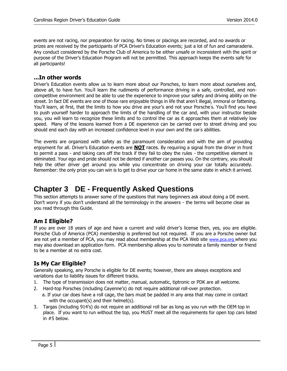events are not racing, nor preparation for racing. No times or placings are recorded, and no awards or prizes are received by the participants of PCA Driver's Education events; just a lot of fun and camaraderie. Any conduct considered by the Porsche Club of America to be either unsafe or inconsistent with the spirit or purpose of the Driver's Education Program will not be permitted. This approach keeps the events safe for all participants!

#### <span id="page-4-0"></span>**...In other words**

Driver's Education events allow us to learn more about our Porsches, to learn more about ourselves and, above all, to have fun. You'll learn the rudiments of performance driving in a safe, controlled, and noncompetitive environment and be able to use the experience to improve your safety and driving ability on the street. In fact DE events are one of those rare enjoyable things in life that aren' t illegal, immoral or fattening. You'll learn, at first, that the limits to how you drive are your's and not your Porsche' s. You' ll find you have to push yourself harder to approach the limits of the handling of the car and, with your instructor beside you, you will learn to recognize these limits and to control the car as it approaches them at relatively low speed. Many of the lessons learned from a DE experience can be carried over to street driving and you should end each day with an increased confidence level in your own and the car' s abilities.

The events are organized with safety as the paramount consideration and with the aim of providing enjoyment for all. Driver's Education events are **NOT** races. By requiring a signal from the driver in front to permit a pass - and taking cars off the track if they fail to obey the rules - the competitive element is eliminated. Your ego and pride should not be dented if another car passes you. On the contrary, you should help the other driver get around you while you concentrate on driving your car totally accurately. Remember: the only prize you can win is to get to drive your car home in the same state in which it arrived.

# <span id="page-4-1"></span>**Chapter 3 DE - Frequently Asked Questions**

This section attempts to answer some of the questions that many beginners ask about doing a DE event. Don't worry if you don't understand all the terminology in the answers - the terms will become clear as you read through this Guide.

# <span id="page-4-2"></span>**Am I Eligible?**

If you are over 18 years of age and have a current and valid driver's license then, yes, you are eligible. Porsche Club of America (PCA) membership is preferred but not required. If you are a Porsche owner but are not yet a member of PCA, you may read about membership at the PCA Web site [www.pca.org](http://www.pca.org/) [w](http://www.pca.org/)here you may also download an application form. PCA membership allows you to nominate a family member or friend to be a member at no extra cost.

# <span id="page-4-3"></span>**Is My Car Eligible?**

Generally speaking, any Porsche is eligible for DE events; however, there are always exceptions and variations due to liability issues for different tracks.

- 1. The type of transmission does not matter, manual, automatic, tiptronic or PDK are all welcome.
- 2. Hard-top Porsches (including Cayenne's) do not require additional roll-over protection.
	- a. If your car does have a roll cage, the bars must be padded in any area that may come in contact with the occupant(s) and their helmet(s).
- 3. Targas (including 914's) do not require an additional roll bar as long as you run with the OEM top in place. If you want to run without the top, you MUST meet all the requirements for open top cars listed in #5 below.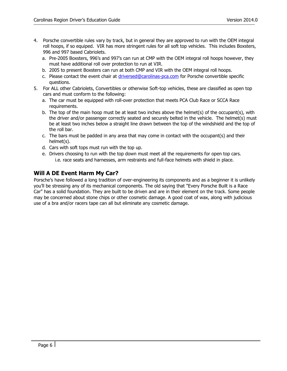- 4. Porsche convertible rules vary by track, but in general they are approved to run with the OEM integral roll hoops, if so equiped. VIR has more stringent rules for all soft top vehicles. This includes Boxsters, 996 and 997 based Cabriolets.
	- a. Pre-2005 Boxsters, 996's and 997's can run at CMP with the OEM integral roll hoops however, they must have additional roll over protection to run at VIR.
	- b. 2005 to present Boxsters can run at both CMP and VIR with the OEM integral roll hoops.
	- c. Please contact the event chair at driversed@carolinas-pca.com for Porsche convertible specific questions.
- 5. For ALL other Cabriolets, Convertibles or otherwise Soft-top vehicles, these are classified as open top cars and must conform to the following:
	- a. The car must be equipped with roll-over protection that meets PCA Club Race or SCCA Race requirements.
	- b. The top of the main hoop must be at least two inches above the helmet(s) of the occupant(s), with the driver and/or passenger correctly seated and securely belted in the vehicle. The helmet(s) must be at least two inches below a straight line drawn between the top of the windshield and the top of the roll bar.
	- c. The bars must be padded in any area that may come in contact with the occupant(s) and their helmet(s).
	- d. Cars with soft tops must run with the top up.
	- e. Drivers choosing to run with the top down must meet all the requirements for open top cars. i.e. race seats and harnesses, arm restraints and full-face helmets with shield in place.

# <span id="page-5-0"></span>**Will A DE Event Harm My Car?**

Porsche's have followed a long tradition of over-engineering its components and as a beginner it is unlikely you'll be stressing any of its mechanical components. The old saying that "Every Porsche Built is a Race Car" has a solid foundation. They are built to be driven and are in their element on the track. Some people may be concerned about stone chips or other cosmetic damage. A good coat of wax, along with judicious use of a bra and/or racers tape can all but eliminate any cosmetic damage.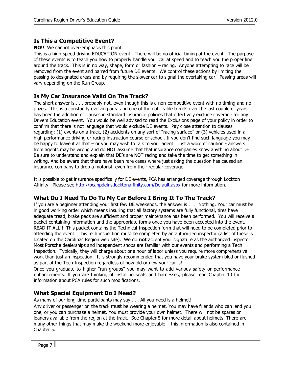# <span id="page-6-0"></span>**Is This a Competitive Event?**

**NO!!** We cannot over-emphasis this point.

This is a high-speed driving EDUCATION event. There will be no official timing of the event. The purpose of these events is to teach you how to properly handle your car at speed and to teach you the proper line around the track. This is in no way, shape, form or fashion – racing. Anyone attempting to race will be removed from the event and barred from future DE events. We control these actions by limiting the passing to designated areas and by requiring the slower car to signal the overtaking car. Passing areas will vary depending on the Run Group.

# <span id="page-6-1"></span>**Is My Car Insurance Valid On The Track?**

The short answer is . . . probably not, even though this is a non-competitive event with no timing and no prizes. This is a constantly evolving area and one of the noticeable trends over the last couple of years has been the addition of clauses in standard insurance policies that effectively exclude coverage for any Drivers Education event. You would be well advised to read the Exclusions page of your policy in order to confirm that there is not language that would exclude DE events. Pay close attention to clauses regarding: (1) events on a track, (2) accidents on any sort of "racing surface" or (3) vehicles used in a high performance driving or racing instruction course or school. If you don't find such language you may be happy to leave it at that – or you may wish to talk to your agent. Just a word of caution - answers from agents may be wrong and do NOT assume that that insurance companies know anything about DE. Be sure to understand and explain that DE's are NOT racing and take the time to get something in writing. And be aware that there have been rare cases where just asking the question has caused an insurance company to drop a motorist, even from their regular coverage.

It is possible to get insurance specifically for DE events, PCA has arranged coverage through Lockton Affinity. Please see<http://pcahpdeins.locktonaffinity.com/Default.aspx> [f](http://pcahpdeins.locktonaffinity.com/Default.aspx)or more information.

# <span id="page-6-2"></span>**What Do I Need To Do To My Car Before I Bring It To The Track?**

If you are a beginner attending your first few DE weekends, the answer is . . . Nothing. Your car must be in good working order which means insuring that all factory systems are fully functional, tires have adequate tread, brake pads are sufficient and proper maintenance has been performed. You will receive a packet containing information and the appropriate forms once you have been accepted into the event. READ IT ALL!! This packet contains the Technical Inspection form that will need to be completed prior to attending the event. This tech inspection must be completed by an authorized inspector (a list of these is located on the Carolinas Region web site). We do **not** accept your signature as the authorized inspector. Most Porsche dealerships and independent shops are familiar with our events and performing a Tech Inspection. Typically, they will charge about one hour of labor unless you require more comprehensive work than just an inspection. It is strongly recommended that you have your brake system bled or flushed as part of the Tech Inspection regardless of how old or new your car is!

Once you graduate to higher "run groups" you may want to add various safety or performance enhancements. If you are thinking of installing seats and harnesses, please read Chapter 10 for information about PCA rules for such modifications.

# <span id="page-6-3"></span>**What Special Equipment Do I Need?**

As many of our long-time participants may say . . . All you need is a helmet!

Any driver or passenger on the track must be wearing a helmet. You may have friends who can lend you one, or you can purchase a helmet. You must provide your own helmet. There will not be spares or loaners available from the region at the track. See Chapter 5 for more detail about helmets. There are many other things that may make the weekend more enjoyable – this information is also contained in Chapter 5.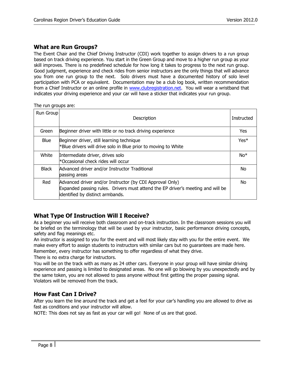## <span id="page-7-0"></span>**What are Run Groups?**

The Event Chair and the Chief Driving Instructor (CDI) work together to assign drivers to a run group based on track driving experience. You start in the Green Group and move to a higher run group as your skill improves. There is no predefined schedule for how long it takes to progress to the next run group. Good judgment, experience and check rides from senior instructors are the only things that will advance you from one run group to the next. Solo drivers must have a documented history of solo level participation with PCA or equivalent. Documentation may be a club log book, written recommendation from a Chief Instructor or an online profile in [www.clubregistration.net.](http://www.clubregistration.net/) You will wear a wristband that indicates your driving experience and your car will have a sticker that indicates your run group.

The run groups are:

| Run Group    | Description                                                                                                                                                                     | Instructed |
|--------------|---------------------------------------------------------------------------------------------------------------------------------------------------------------------------------|------------|
| Green        | Beginner driver with little or no track driving experience                                                                                                                      | Yes        |
| Blue         | Beginner driver, still learning technique<br>*Blue drivers will drive solo in Blue prior to moving to White                                                                     | $Yes*$     |
| White        | Intermediate driver, drives solo<br>*Occasional check rides will occur                                                                                                          | $No*$      |
| <b>Black</b> | Advanced driver and/or Instructor Traditional<br>passing areas                                                                                                                  | No         |
| Red          | Advanced driver and/or Instructor (by CDI Approval Only)<br>Expanded passing rules. Drivers must attend the EP driver's meeting and will be<br>identified by distinct armbands. | No         |

# <span id="page-7-1"></span>**What Type Of Instruction Will I Receive?**

As a beginner you will receive both classroom and on-track instruction. In the classroom sessions you will be briefed on the terminology that will be used by your instructor, basic performance driving concepts, safety and flag meanings etc.

An instructor is assigned to you for the event and will most likely stay with you for the entire event. We make every effort to assign students to instructors with similar cars but no guarantees are made here. Remember, every instructor has something to offer regardless of what they drive.

There is no extra charge for instructors.

You will be on the track with as many as 24 other cars. Everyone in your group will have similar driving experience and passing is limited to designated areas. No one will go blowing by you unexpectedly and by the same token, you are not allowed to pass anyone without first getting the proper passing signal. Violators will be removed from the track.

# <span id="page-7-2"></span>**How Fast Can I Drive?**

After you learn the line around the track and get a feel for your car's handling you are allowed to drive as fast as conditions and your instructor will allow.

NOTE: This does not say as fast as your car will go! None of us are that good.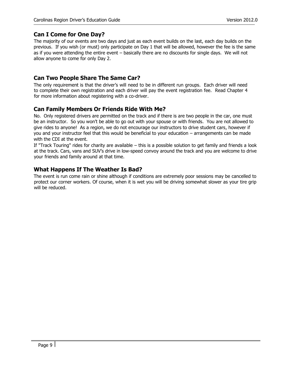# <span id="page-8-0"></span>**Can I Come for One Day?**

The majority of our events are two days and just as each event builds on the last, each day builds on the previous. If you wish (or must) only participate on Day 1 that will be allowed, however the fee is the same as if you were attending the entire event – basically there are no discounts for single days. We will not allow anyone to come for only Day 2.

## <span id="page-8-1"></span>**Can Two People Share The Same Car?**

The only requirement is that the driver's will need to be in different run groups. Each driver will need to complete their own registration and each driver will pay the event registration fee. Read Chapter 4 for more information about registering with a co-driver.

## <span id="page-8-2"></span>**Can Family Members Or Friends Ride With Me?**

No. Only registered drivers are permitted on the track and if there is are two people in the car, one must be an instructor. So you won't be able to go out with your spouse or with friends. You are not allowed to give rides to anyone! As a region, we do not encourage our instructors to drive student cars, however if you and your instructor feel that this would be beneficial to your education – arrangements can be made with the CDI at the event.

If "Track Touring" rides for charity are available – this is a possible solution to get family and friends a look at the track. Cars, vans and SUV's drive in low-speed convoy around the track and you are welcome to drive your friends and family around at that time.

# <span id="page-8-3"></span>**What Happens If The Weather Is Bad?**

The event is run come rain or shine although if conditions are extremely poor sessions may be cancelled to protect our corner workers. Of course, when it is wet you will be driving somewhat slower as your tire grip will be reduced.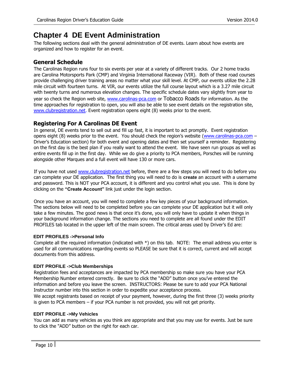# <span id="page-9-0"></span>**Chapter 4 DE Event Administration**

The following sections deal with the general administration of DE events. Learn about how events are organized and how to register for an event.

## <span id="page-9-1"></span>**General Schedule**

The Carolinas Region runs four to six events per year at a variety of different tracks. Our 2 home tracks are Carolina Motorsports Park (CMP) and Virginia International Raceway (VIR). Both of these road courses provide challenging driver training areas no matter what your skill level. At CMP, our events utilize the 2.28 mile circuit with fourteen turns. At VIR, our events utilize the full course layout which is a 3.27 mile circuit with twenty turns and numerous elevation changes. The specific schedule dates vary slightly from year to year so check the Region web site, [www.carolinas-pca.com](http://www.carolinas-pca.com/) or Tobacco Roads for information. As the time approaches for registration to open, you will also be able to see event details on the registration site[,](http://www.clubregistration.net/) [www.clubregistration.net.](http://www.clubregistration.net/) Event registration opens eight (8) weeks prior to the event.

# <span id="page-9-2"></span>**Registering For A Carolinas DE Event**

In general, DE events tend to sell out and fill up fast, it is important to act promptly. Event registration opens eight  $(8)$  weeks prior to the event. You should check the region's website [\(www.carolinas-pca.com](http://www.carolinas-pca.com/) – Driver's Education section) for both event and opening dates and then set yourself a reminder. Registering on the first day is the best plan if you really want to attend the event. We have seen run groups as well as entire events fill up in the first day. While we do give a priority to PCA members, Porsches will be running alongside other Marques and a full event will have 130 or more cars.

If you have not used [www.clubregistration.net](http://www.clubregistration.net/) [b](http://www.clubregistration.net/)efore, there are a few steps you will need to do before you can complete your DE application. The first thing you will need to do is **create** an account with a username and password. This is NOT your PCA account, it is different and you control what you use. This is done by clicking on the **"Create Account"** link just under the login section.

Once you have an account, you will need to complete a few key pieces of your background information. The sections below will need to be completed before you can complete your DE application but it will only take a few minutes. The good news is that once it's done, you will only have to update it when things in your background information change. The sections you need to complete are all found under the EDIT PROFILES tab located in the upper left of the main screen. The critical areas used by Driver's Ed are:

#### **EDIT PROFILES ->Personal Info**

Complete all the required information (indicated with \*) on this tab. NOTE: The email address you enter is used for all communications regarding events so PLEASE be sure that it is correct, current and will accept documents from this address.

#### **EDIT PROFILE ->Club Memberships**

Registration fees and acceptances are impacted by PCA membership so make sure you have your PCA Membership Number entered correctly. Be sure to click the "ADD" button once you've entered the information and before you leave the screen. INSTRUCTORS: Please be sure to add your PCA National Instructor number into this section in order to expedite your acceptance process.

We accept registrants based on receipt of your payment, however, during the first three (3) weeks priority is given to PCA members – if your PCA number is not provided, you will not get priority.

#### **EDIT PROFILE ->My Vehicles**

You can add as many vehicles as you think are appropriate and that you may use for events. Just be sure to click the "ADD" button on the right for each car.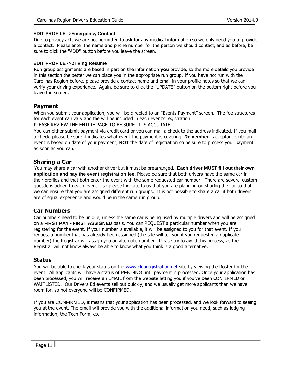#### **EDIT PROFILE ->Emergency Contact**

Due to privacy acts we are not permitted to ask for any medical information so we only need you to provide a contact. Please enter the name and phone number for the person we should contact, and as before, be sure to click the "ADD" button before you leave the screen.

#### **EDIT PROFILE ->Driving Resume**

Run group assignments are based in part on the information **you** provide, so the more details you provide in this section the better we can place you in the appropriate run group. If you have not run with the Carolinas Region before, please provide a contact name and email in your profile notes so that we can verify your driving experience. Again, be sure to click the "UPDATE" button on the bottom right before you leave the screen.

## <span id="page-10-0"></span>**Payment**

When you submit your application, you will be directed to an "Events Payment" screen. The fee structures for each event can vary and the will be included in each event's registration.

PLEASE REVIEW THE ENTIRE PAGE TO BE SURE IT IS ACCURATE!

You can either submit payment via credit card or you can mail a check to the address indicated. If you mail a check, please be sure it indicates what event the payment is covering. **Remember** - acceptance into an event is based on date of your payment, **NOT** the date of registration so be sure to process your payment as soon as you can.

## <span id="page-10-1"></span>**Sharing a Car**

You may share a car with another driver but it must be prearranged. **Each driver MUST fill out their own application and pay the event registration fee.** Please be sure that both drivers have the same car in their profiles and that both enter the event with the same requested car number. There are several custom questions added to each event – so please indicate to us that you are planning on sharing the car so that we can ensure that you are assigned different run groups. It is not possible to share a car if both drivers are of equal experience and would be in the same run group.

#### <span id="page-10-2"></span>**Car Numbers**

Car numbers need to be unique, unless the same car is being used by multiple drivers and will be assigned on a **FIRST PAY - FIRST ASSIGNED** basis. You can REQUEST a particular number when you are registering for the event. If your number is available, it will be assigned to you for that event. If you request a number that has already been assigned (the site will tell you if you requested a duplicate number) the Registrar will assign you an alternate number. Please try to avoid this process, as the Registrar will not know always be able to know what you think is a good alternative.

#### <span id="page-10-3"></span>**Status**

You will be able to check your status on the [www.clubregistration.net](http://www.clubregistration.net/) [s](http://www.clubregistration.net/)ite by viewing the Roster for the event. All applicants will have a status of PENDING until payment is processed. Once your application has been processed, you will receive an EMAIL from the website letting you if you've been CONFIRMED or WAITLISTED. Our Drivers Ed events sell out quickly, and we usually get more applicants than we have room for, so not everyone will be CONFIRMED.

If you are CONFIRMED, it means that your application has been processed, and we look forward to seeing you at the event. The email will provide you with the additional information you need, such as lodging information, the Tech Form, etc.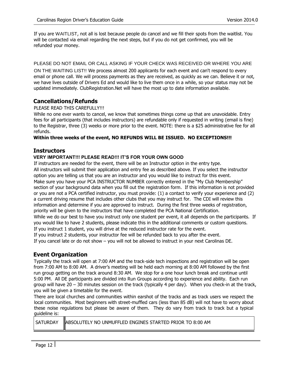If you are WAITLIST, not all is lost because people do cancel and we fill their spots from the waitlist. You will be contacted via email regarding the next steps, but if you do not get confirmed, you will be refunded your money.

PLEASE DO NOT EMAIL OR CALL ASKING IF YOUR CHECK WAS RECEIVED OR WHERE YOU ARE

ON THE WAITING LIST!! We process almost 200 applicants for each event and can't respond to every email or phone call. We will process payments as they are received, as quickly as we can. Believe it or not, we have lives outside of Drivers Ed and would like to live them once in a while, so your status may not be updated immediately. ClubRegistration.Net will have the most up to date information available.

#### <span id="page-11-0"></span>**Cancellations/Refunds**

#### PLEASE READ THIS CAREFULLY!!!

While no one ever wants to cancel, we know that sometimes things come up that are unavoidable. Entry fees for all participants (that includes instructors) are refundable only if requested in writing (email is fine) to the Registrar, three (3) weeks or more prior to the event. NOTE: there is a \$25 administrative fee for all refunds.

#### **Within three weeks of the event, NO REFUNDS WILL BE ISSUED. NO EXCEPTIONS!!!**

#### <span id="page-11-1"></span>**Instructors**

#### **VERY IMPORTANT!!! PLEASE READ!!! IT'S FOR YOUR OWN GOOD**

If instructors are needed for the event, there will be an Instructor option in the entry type. All instructors will submit their application and entry fee as described above. If you select the instructor option you are telling us that you are an instructor and you would like to instruct for this event. Make sure you have your PCA INSTRUCTOR NUMBER correctly entered in the "My Club Membership" section of your background data when you fill out the registration form. If this information is not provided or you are not a PCA certified instructor, you must provide: (1) a contact to verify your experience and (2) a current driving resume that includes other clubs that you may instruct for. The CDI will review this information and determine if you are approved to instruct. During the first three weeks of registration, priority will be given to the instructors that have completed the PCA National Certification. While we do our best to have you instruct only one student per event, it all depends on the participants. If you would like to have 2 students, please indicate this in the additional comments or custom questions. If you instruct 1 student, you will drive at the reduced instructor rate for the event.

If you instruct 2 students, your instructor fee will be refunded back to you after the event.

If you cancel late or do not show – you will not be allowed to instruct in your next Carolinas DE.

#### <span id="page-11-2"></span>**Event Organization**

Typically the track will open at 7:00 AM and the track-side tech inspections and registration will be open from 7:00 AM to 8:00 AM. A driver's meeting will be held each morning at 8:00 AM followed by the first run group getting on the track around 8:30 AM. We stop for a one hour lunch break and continue until 5:00 PM. All DE participants are divided into Run Groups according to experience and ability. Each run group will have  $20 - 30$  minutes session on the track (typically 4 per day). When you check-in at the track, you will be given a timetable for the event.

There are local churches and communities within earshot of the tracks and as track users we respect the local communities. Most beginners with street-muffled cars (less than 85 dB) will not have to worry about these noise regulations but please be aware of them. They do vary from track to track but a typical guideline is:

|  | SATURDAY ABSOLUTELY NO UNMUFFLED ENGINES STARTED PRIOR TO 8:00 AM |
|--|-------------------------------------------------------------------|
|--|-------------------------------------------------------------------|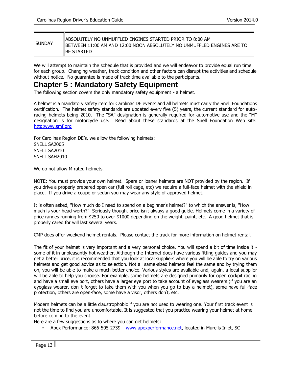| <b>SUNDAY</b> | ABSOLUTELY NO UNMUFFLED ENGINES STARTED PRIOR TO 8:00 AM<br>BETWEEN 11:00 AM AND 12:00 NOON ABSOLUTELY NO UNMUFFLED ENGINES ARE TO<br><b>BE STARTED</b> |
|---------------|---------------------------------------------------------------------------------------------------------------------------------------------------------|
|---------------|---------------------------------------------------------------------------------------------------------------------------------------------------------|

We will attempt to maintain the schedule that is provided and we will endeavor to provide equal run time for each group. Changing weather, track condition and other factors can disrupt the activities and schedule without notice. No guarantee is made of track time available to the participants.

# <span id="page-12-0"></span>**Chapter 5 : Mandatory Safety Equipment**

The following section covers the only mandatory safety equipment - a helmet.

A helmet is a mandatory safety item for Carolinas DE events and all helmets must carry the Snell Foundations certification. The helmet safety standards are updated every five (5) years, the current standard for autoracing helmets being 2010. The "SA" designation is generally required for automotive use and the "M" designation is for motorcycle use. Read about these standards at the Snell Foundation Web site: http:www.smf.org

For Carolinas Region DE's, we allow the following helmets: SNELL SA2005 SNELL SA2010 SNELL SAH2010

We do not allow M rated helmets.

NOTE: You must provide your own helmet. Spare or loaner helmets are NOT provided by the region. If you drive a properly prepared open car (full roll cage, etc) we require a full-face helmet with the shield in place. If you drive a coupe or sedan you may wear any style of approved helmet.

It is often asked, "How much do I need to spend on a beginner's helmet?" to which the answer is, "How much is your head worth?" Seriously though, price isn't always a good guide. Helmets come in a variety of price ranges running from \$250 to over \$1000 depending on the weight, paint, etc. A good helmet that is properly cared for will last several years.

CMP does offer weekend helmet rentals. Please contact the track for more information on helmet rental.

The fit of your helmet is very important and a very personal choice. You will spend a bit of time inside it some of it in unpleasantly hot weather. Although the Internet does have various fitting guides and you may get a better price, it is recommended that you look at local suppliers where you will be able to try on various helmets and get good advice as to selection. Not all same-sized helmets feel the same and by trying them on, you will be able to make a much better choice. Various styles are available and, again, a local supplier will be able to help you choose. For example, some helmets are designed primarily for open cockpit racing and have a small eye port, others have a larger eye port to take account of eyeglass wearers (if you are an eyeglass wearer, don ' t forget to take them with you when you go to buy a helmet), some have full-face protection, others are open-face, some have a visor, others don't, etc.

Modern helmets can be a little claustrophobic if you are not used to wearing one. Your first track event is not the time to find you are uncomfortable. It is suggested that you practice wearing your helmet at home before coming to the event.

Here are a few suggestions as to where you can get helmets:

• Apex Performance: 866-505-2739 [–](http://www.apexperformance.net/) [www.apexperformance.net,](http://www.apexperformance.net/) located in Murells Inlet, SC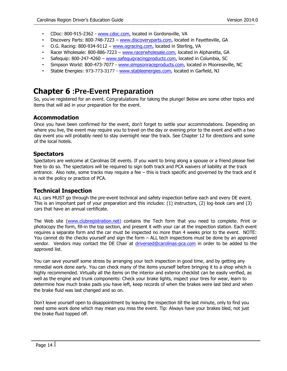- CDoc: 800-915-2362 [www.cdoc.com,](http://www.cdoc.com/) located in Gordonsville, VA
- Discovery Parts: 800-748-7223 [www.discoveryparts.com,](http://www.discoveryparts.com/) located in Fayetteville, GA
- O.G. Racing: 800-934-9112 [www.ogracing.com,](http://www.ogracing.com/) located in Sterling, VA
- Racer Wholesale: 800-886-7223 [–](http://www.racerwholesale.com/) [www.racerwholesale.com,](http://www.racerwholesale.com/) located in Alpharetta, GA
- Safequip: 800-247-4260 [www.safequipracingproducts.com,](http://www.safequipracingproducts.com/) located in Columbia, SC
- Simpson World: 800-473-7077 [-](http://www.simpsonraceproducts.com/) [www.simpsonraceproducts.com,](http://www.simpsonraceproducts.com/) located in Mooreseville, NC
- Stable Energies: 973-773-3177 [-](http://www.stableenergies.com/) [www.stableenergies.com,](http://www.stableenergies.com/) located in Garfield, NJ

# <span id="page-13-0"></span>**Chapter 6 :Pre-Event Preparation**

So, you've registered for an event. Congratulations for taking the plunge! Below are some other topics and items that will aid in your preparation for the event.

# <span id="page-13-1"></span>**Accommodation**

Once you have been confirmed for the event, don't forget to settle your accommodations. Depending on where you live, the event may require you to travel on the day or evening prior to the event and with a two day event you will probably need to stay overnight near the track. See Chapter 12 for directions and some of the local hotels.

## <span id="page-13-2"></span>**Spectators**

Spectators are welcome at Carolinas DE events. If you want to bring along a spouse or a friend please feel free to do so. The spectators will be required to sign both track and PCA waivers of liability at the track entrance. Also note, some tracks may require a fee – this is track specific and governed by the track and it is not the policy or practice of PCA.

#### <span id="page-13-3"></span>**Technical Inspection**

ALL cars MUST go through the pre-event technical and safety inspection before each and every DE event. This is an important part of your preparation and this includes: (1) instructors, (2) log-book cars and (3) cars that have an annual certificate.

The Web site [\(www.clubregistration.net\)](http://www.clubregistration.net/) contains the Tech form that you need to complete. Print or photocopy the form, fill-in the top section, and present it with your car at the inspection station. Each event requires a separate form and the car must be inspected no more than 4 weeks prior to the event. NOTE: You cannot do the checks yourself and sign the form – ALL tech inspections must be done by an approved vendor. Vendors may contact the DE Chair at driversed@carolinas-pca.com in order to be added to the approved list.

You can save yourself some stress by arranging your tech inspection in good time, and by getting any remedial work done early. You can check many of the items yourself before bringing it to a shop which is highly recommended. Virtually all the items on the interior and exterior checklist can be easily verified, as well as the engine and trunk components: Check your brake lights, inspect your tires for wear, learn to determine how much brake pads you have left, keep records of when the brakes were last bled and when the brake fluid was last changed and so on.

Don' t leave yourself open to disappointment by leaving the inspection till the last minute, only to find you need some work done which may mean you miss the event. Tip: Always have your brakes bled, not just the brake fluid topped off.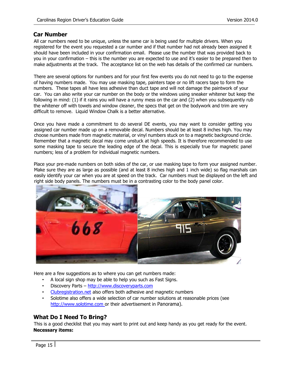#### <span id="page-14-0"></span>**Car Number**

All car numbers need to be unique, unless the same car is being used for multiple drivers. When you registered for the event you requested a car number and if that number had not already been assigned it should have been included in your confirmation email. Please use the number that was provided back to you in your confirmation – this is the number you are expected to use and it's easier to be prepared then to make adjustments at the track. The acceptance list on the web has details of the confirmed car numbers.

There are several options for numbers and for your first few events you do not need to go to the expense of having numbers made. You may use masking tape, painters tape or no lift racers tape to form the numbers. These tapes all have less adhesive than duct tape and will not damage the paintwork of your car. You can also write your car number on the body or the windows using sneaker whitener but keep the following in mind: (1) if it rains you will have a runny mess on the car and (2) when you subsequently rub the whitener off with towels and window cleaner, the specs that get on the bodywork and trim are very difficult to remove. Liquid Window Chalk is a better alternative.

Once you have made a commitment to do several DE events, you may want to consider getting you assigned car number made up on a removable decal. Numbers should be at least 8 inches high. You may choose numbers made from magnetic material, or vinyl numbers stuck on to a magnetic background circle. Remember that a magnetic decal may come unstuck at high speeds. It is therefore recommended to use some masking tape to secure the leading edge of the decal. This is especially true for magnetic panel numbers; less of a problem for individual magnetic numbers.

Place your pre-made numbers on both sides of the car, or use masking tape to form your assigned number. Make sure they are as large as possible (and at least 8 inches high and 1 inch wide) so flag marshals can easily identify your car when you are at speed on the track. Car numbers must be displayed on the left and right side body panels. The numbers must be in a contrasting color to the body panel color.



Here are a few suggestions as to where you can get numbers made:

- A local sign shop may be able to help you such as Fast Signs.
- Discovery Parts [http://www.discoveryparts.com](http://www.discoveryparts.com/)
- [Clubregistration.net](http://clubregistration.net/) also offers both adhesive and magnetic numbers
- Solotime also offers a wide selection of car number solutions at reasonable prices (see http://www.solotime.com or their advertisement in Panorama).

#### <span id="page-14-1"></span>**What Do I Need To Bring?**

This is a good checklist that you may want to print out and keep handy as you get ready for the event. **Necessary items:**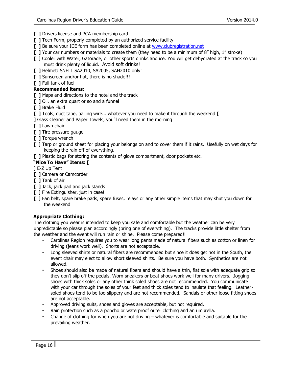- **[ ]** Drivers license and PCA membership card
- **[ ]** Tech Form, properly completed by an authorized service facility
- **[ ]** Be sure your ICE form has been completed online at [www.clubregistration.net](http://www.clubregistration.net/)
- **[ ]** Your car numbers or materials to create them (they need to be a minimum of 8" high, 1" stroke)
- **[ ]** Cooler with Water, Gatorade, or other sports drinks and ice. You will get dehydrated at the track so you must drink plenty of liquid. Avoid soft drinks!
- **[ ]** Helmet: SNELL SA2010, SA2005, SAH2010 only!
- **[ ]** Sunscreen and/or hat, there is no shade!!!
- **[ ]** Full tank of fuel

#### **Recommended items:**

- **[ ]** Maps and directions to the hotel and the track
- **[ ]** Oil, an extra quart or so and a funnel
- **[ ]** Brake Fluid
- **[ ]** Tools, duct tape, bailing wire... whatever you need to make it through the weekend **[**
- **]** Glass Cleaner and Paper Towels, you'll need them in the morning
- **[ ]** Lawn chair
- **[ ]** Tire pressure gauge
- **[ ]** Torque wrench
- **[ ]** Tarp or ground sheet for placing your belongs on and to cover them if it rains. Usefully on wet days for keeping the rain off of everything.
- **[ ]** Plastic bags for storing the contents of glove compartment, door pockets etc.

#### **"Nice To Have" Items: [**

#### **]** E-Z Up Tent

- **[ ]** Camera or Camcorder
- **[ ]** Tank of air
- **[ ]** Jack, jack pad and jack stands
- **[ ]** Fire Extinguisher, just in case!
- **[ ]** Fan belt, spare brake pads, spare fuses, relays or any other simple items that may shut you down for the weekend

#### **Appropriate Clothing:**

The clothing you wear is intended to keep you safe and comfortable but the weather can be very unpredictable so please plan accordingly (bring one of everything). The tracks provide little shelter from the weather and the event will run rain or shine. Please come prepared!!

- Carolinas Region requires you to wear long pants made of natural fibers such as cotton or linen for driving (jeans work well). Shorts are not acceptable.
- Long sleeved shirts or natural fibers are recommended but since it does get hot in the South, the event chair may elect to allow short sleeved shirts. Be sure you have both. Synthetics are not allowed.
- Shoes should also be made of natural fibers and should have a thin, flat sole with adequate grip so they don't slip off the pedals. Worn sneakers or boat shoes work well for many drivers. Jogging shoes with thick soles or any other think soled shoes are not recommended. You communicate with your car through the soles of your feet and thick soles tend to insulate that feeling. Leathersoled shoes tend to be too slippery and are not recommended. Sandals or other loose fitting shoes are not acceptable.
- Approved driving suits, shoes and gloves are acceptable, but not required.
- Rain protection such as a poncho or waterproof outer clothing and an umbrella.
- Change of clothing for when you are not driving whatever is comfortable and suitable for the prevailing weather.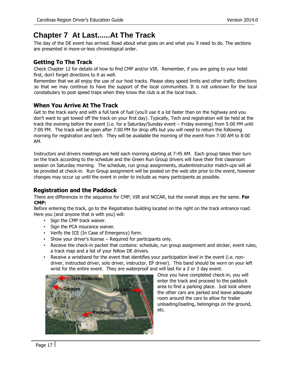# <span id="page-16-0"></span>**Chapter 7 At Last......At The Track**

The day of the DE event has arrived. Read about what goes on and what you ' ll need to do. The sections are presented in more-or-less chronological order.

# <span id="page-16-1"></span>**Getting To The Track**

Check Chapter 12 for details of how to find CMP and/or VIR. Remember, if you are going to your hotel first, don' t forget directions to it as well.

Remember that we all enjoy the use of our host tracks. Please obey speed limits and other traffic directions so that we may continue to have the support of the local communities. It is not unknown for the local constabulary to post speed traps when they know the club is at the local track.

# <span id="page-16-2"></span>**When You Arrive At The Track**

Get to the track early and with a full tank of fuel (you'll use it a lot faster than on the highway and you don't want to get towed off the track on your first day). Typically, Tech and registration will be held at the track the evening before the event (i.e. for a Saturday/Sunday event – Friday evening) from 5:00 PM until 7:00 PM. The track will be open after 7:00 PM for drop offs but you will need to return the following morning for registration and tech. They will be available the morning of the event from 7:00 AM to 8:00 AM.

Instructors and drivers meetings are held each morning starting at 7:45 AM. Each group takes their turn on the track according to the schedule and the Green Run Group drivers will have their first classroom session on Saturday morning. The schedule, run group assignments, studentinstructor match-ups will all be provided at check-in. Run Group assignment will be posted on the web site prior to the event, however changes may occur up until the event in order to include as many participants as possible.

# <span id="page-16-3"></span>**Registration and the Paddock**

There are differences in the sequence for CMP, VIR and NCCAR, but the overall steps are the same. **For CMP:** 

Before entering the track, go to the Registration building located on the right on the track entrance road. Here you (and anyone that is with you) will:

- Sign the CMP track waiver.
- Sign the PCA insurance waiver.
- Verify the ICE (In Case of Emergency) form.
- Show your driver's license Required for participants only.
- Receive the check-in packet that contains: schedule, run group assignment and sticker, event rules, a track map and a list of your fellow DE drivers.
- Receive a wristband for the event that identifies your participation level in the event (i.e. nondriver, instructed driver, solo driver, instructor, EP driver). This band should be worn on your left wrist for the entire event. They are waterproof and will last for a 2 or 3 day event.



Once you have completed check-in, you will enter the track and proceed to the paddock area to find a parking place. Just look where the other cars are parked and leave adequate room around the cars to allow for trailer unloading/loading, belongings on the ground, etc.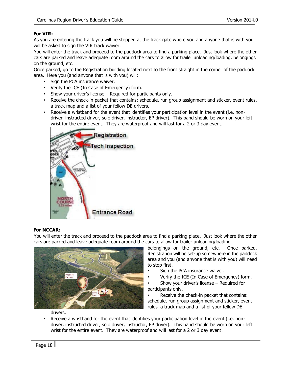#### **For VIR:**

As you are entering the track you will be stopped at the track gate where you and anyone that is with you will be asked to sign the VIR track waiver.

You will enter the track and proceed to the paddock area to find a parking place. Just look where the other cars are parked and leave adequate room around the cars to allow for trailer unloading/loading, belongings on the ground, etc.

Once parked, go to the Registration building located next to the front straight in the corner of the paddock area. Here you (and anyone that is with you) will:

- Sign the PCA insurance waiver.
- Verify the ICE (In Case of Emergency) form.
- Show your driver's license Required for participants only.
- Receive the check-in packet that contains: schedule, run group assignment and sticker, event rules, a track map and a list of your fellow DE drivers.
- Receive a wristband for the event that identifies your participation level in the event (i.e. nondriver, instructed driver, solo driver, instructor, EP driver). This band should be worn on your left wrist for the entire event. They are waterproof and will last for a 2 or 3 day event.



#### **For NCCAR:**

You will enter the track and proceed to the paddock area to find a parking place. Just look where the other cars are parked and leave adequate room around the cars to allow for trailer unloading/loading,



belongings on the ground, etc. Once parked, Registration will be set-up somewhere in the paddock area and you (and anyone that is with you) will need to stop first.

- Sign the PCA insurance waiver.
- Verify the ICE (In Case of Emergency) form.

Show your driver's license  $-$  Required for participants only.

Receive the check-in packet that contains: schedule, run group assignment and sticker, event rules, a track map and a list of your fellow DE

drivers.

Receive a wristband for the event that identifies your participation level in the event (i.e. nondriver, instructed driver, solo driver, instructor, EP driver). This band should be worn on your left wrist for the entire event. They are waterproof and will last for a 2 or 3 day event.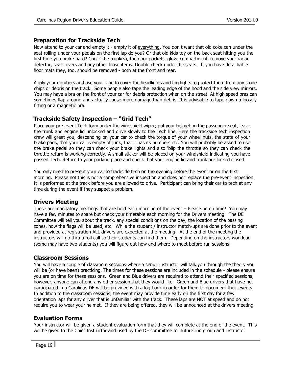## <span id="page-18-0"></span>**Preparation for Trackside Tech**

Now attend to your car and empty it - empty it of everything. You don t want that old coke can under the seat rolling under your pedals on the first lap do you? Or that old kids toy on the back seat hitting you the first time you brake hard? Check the trunk(s), the door pockets, glove compartment, remove your radar detector, seat covers and any other loose items. Double check under the seats. If you have detachable floor mats they, too, should be removed - both at the front and rear.

Apply your numbers and use your tape to cover the headlights and fog lights to protect them from any stone chips or debris on the track. Some people also tape the leading edge of the hood and the side view mirrors. You may have a bra on the front of your car for debris protection when on the street. At high speed bras can sometimes flap around and actually cause more damage than debris. It is advisable to tape down a loosely fitting or a magnetic bra.

## <span id="page-18-1"></span>**Trackside Safety Inspection – "Grid Tech"**

Place your pre-event Tech form under the windshield wiper; put your helmet on the passenger seat, leave the trunk and engine lid unlocked and drive slowly to the Tech line. Here the trackside tech inspection crew will greet you, descending on your car to check the torque of your wheel nuts, the state of your brake pads, that your car is empty of junk, that it has its numbers etc. You will probably be asked to use the brake pedal so they can check your brake lights and also 'blip the throttle so they can check the throttle return is working correctly. A small sticker will be placed on your windshield indicating you have passed Tech. Return to your parking place and check that your engine lid and trunk are locked closed.

You only need to present your car to trackside tech on the evening before the event or on the first morning. Please not this is not a comprehensive inspection and does not replace the pre-event inspection. It is performed at the track before you are allowed to drive. Participant can bring their car to tech at any time during the event if they suspect a problem.

#### <span id="page-18-2"></span>**Drivers Meeting**

These are mandatory meetings that are held each morning of the event – Please be on time! You may have a few minutes to spare but check your timetable each morning for the Drivers meeting. The DE Committee will tell you about the track, any special conditions on the day, the location of the passing zones, how the flags will be used, etc. While the student / instructor match-ups are done prior to the event and provided at registration ALL drivers are expected at the meeting. At the end of the meeting the instructors will go thru a roll call so their students can find them. Depending on the instructors workload (some may have two students) you will figure out how and where to meet before run sessions.

#### <span id="page-18-3"></span>**Classroom Sessions**

You will have a couple of classroom sessions where a senior instructor will talk you through the theory you will be (or have been) practicing. The times for these sessions are included in the schedule - please ensure you are on time for these sessions. Green and Blue drivers are required to attend their specified sessions; however, anyone can attend any other session that they would like. Green and Blue drivers that have not participated in a Carolinas DE will be provided with a log book in order for them to document their events. In addition to the classroom sessions, the event may provide time early on the first day for a few orientation laps for any driver that is unfamiliar with the track. These laps are NOT at speed and do not require you to wear your helmet. If they are being offered, they will be announced at the drivers meeting.

#### <span id="page-18-4"></span>**Evaluation Forms**

Your instructor will be given a student evaluation form that they will complete at the end of the event. This will be given to the Chief Instructor and used by the DE committee for future run group and instructor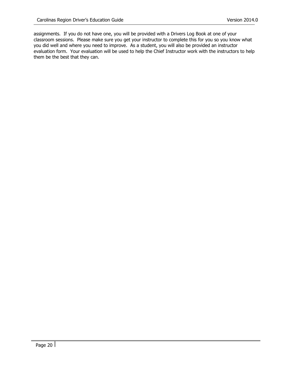assignments. If you do not have one, you will be provided with a Drivers Log Book at one of your classroom sessions. Please make sure you get your instructor to complete this for you so you know what you did well and where you need to improve. As a student, you will also be provided an instructor evaluation form. Your evaluation will be used to help the Chief Instructor work with the instructors to help them be the best that they can.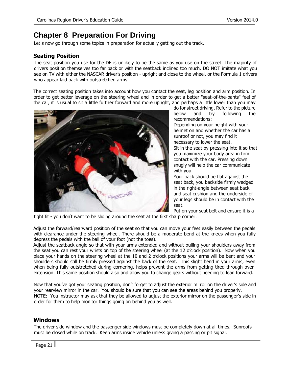# <span id="page-20-0"></span>**Chapter 8 Preparation For Driving**

Let s now go through some topics in preparation for actually getting out the track.

## <span id="page-20-1"></span>**Seating Position**

The seat position you use for the DE is unlikely to be the same as you use on the street. The majority of drivers position themselves too far back or with the seatback inclined too much. DO NOT imitate what you see on TV with either the NASCAR driver's position - upright and close to the wheel, or the Formula 1 drivers who appear laid back with outstretched arms.

The correct seating position takes into account how you contact the seat, leg position and arm position. In order to get better leverage on the steering wheel and in order to get a better "seat-of-the-pants" feel of the car, it is usual to sit a little further forward and more upright, and perhaps a little lower than you may



do for street driving. Refer to the picture below and try following the recommendations:

Depending on your height with your helmet on and whether the car has a sunroof or not, you may find it necessary to lower the seat. Sit in the seat by pressing into it so that you maximize your body area in firm contact with the car. Pressing down snugly will help the car communicate with you.

Your back should be flat against the seat back, you backside firmly wedged in the right-angle between seat back and seat cushion and the underside of your legs should be in contact with the seat.

Put on your seat belt and ensure it is a

tight fit - you don't want to be sliding around the seat at the first sharp corner.

Adjust the forward/rearward position of the seat so that you can move your feet easily between the pedals with clearance under the steering wheel. There should be a moderate bend at the knees when you fully depress the pedals with the ball of your foot (not the toes).

Adjust the seatback angle so that with your arms extended and without pulling your shoulders away from the seat you can rest your wrists on top of the steering wheel (at the 12 o'clock position). Now when you place your hands on the steering wheel at the 10 and 2 o'clock positions your arms will be bent and your shoulders should still be firmly pressed against the back of the seat. This slight bend in your arms, even when being fully outstretched during cornering, helps prevent the arms from getting tired through overextension. This same position should also and allow you to change gears without needing to lean forward.

Now that you've got your seating position, don't forget to adjust the exterior mirror on the driver's side and your rearview mirror in the car. You should be sure that you can see the areas behind you properly. NOTE: You instructor may ask that they be allowed to adjust the exterior mirror on the passenger's side in order for them to help monitor things going on behind you as well.

#### <span id="page-20-2"></span>**Windows**

The driver side window and the passenger side windows must be completely down at all times. Sunroofs must be closed while on track. Keep arms inside vehicle unless giving a passing or pit signal.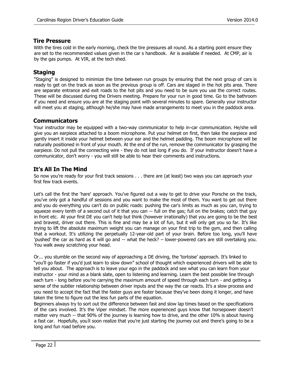#### <span id="page-21-0"></span>**Tire Pressure**

With the tires cold in the early morning, check the tire pressures all round. As a starting point ensure they are set to the recommended values given in the car s handbook. Air is available if needed. At CMP, air is by the gas pumps. At VIR, at the tech shed.

# <span id="page-21-1"></span>**Staging**

"Staging" is designed to minimize the time between run groups by ensuring that the next group of cars is ready to get on the track as soon as the previous group is off. Cars are staged in the hot pits area. There are separate entrance and exit roads to the hot pits and you need to be sure you use the correct routes. These will be discussed during the Drivers meeting. Prepare for your run in good time. Go to the bathroom if you need and ensure you are at the staging point with several minutes to spare. Generally your instructor will meet you at staging, although he/she may have made arrangements to meet you in the paddock area.

# <span id="page-21-2"></span>**Communicators**

Your instructor may be equipped with a two-way communicator to help in-car communication. He/she will give you an earpiece attached to a boom microphone. Put your helmet on first, then take the earpiece and gently insert it inside your helmet between your ear and the helmet padding. The boom microphone will be naturally positioned in front of your mouth. At the end of the run, remove the communicator by grasping the earpiece. Do not pull the connecting wire - they do not last long if you do. If your instructor doesn't have a communicator, don't worry - you will still be able to hear their comments and instructions.

# <span id="page-21-3"></span>**It's All In The Mind**

So now you're ready for your first track sessions . . . there are (at least) two ways you can approach your first few track events.

Let's call the first the 'hare' approach. You've figured out a way to get to drive your Porsche on the track, you've only got a handful of sessions and you want to make the most of them. You want to get out there and you do everything you can't do on public roads: pushing the car's limits as much as you can, trying to squeeze every tenth of a second out of it that you can -- full on the gas; full on the brakes; catch that guy in front etc. At your first DE you can't help but think (however irrationally) that you are going to be the best and bravest, driver out there. This is fine and may be a lot of fun, but it will only get you so far. It's like trying to lift the absolute maximum weight you can manage on your first trip to the gym, and then calling that a workout. It's utilizing the perpetually 12-year-old part of your brain. Before too long, you'll have 'pushed' the car as hard as it will go and -- what the heck? – lower-powered cars are still overtaking you. You walk away scratching your head.

Or... you stumble on the second way of approaching a DE driving, the 'tortoise' approach. It's linked to "you'll go faster if you'd just learn to slow down" school of thought which experienced drivers will be able to tell you about. The approach is to leave your ego in the paddock and see what you can learn from your instructor - your mind as a blank slate, open to listening and learning. Learn the best possible line through each turn - long before you're carrying the maximum amount of speed through each turn - and getting a sense of the subtler relationship between driver inputs and the way the car reacts. It's a slow process and you need to accept the fact that the faster guys are faster because they've been doing it longer, and have taken the time to figure out the less fun parts of the equation.

Beginners always try to sort out the difference between fast and slow lap times based on the specifications of the cars involved. It's the Viper mindset. The more experienced guys know that horsepower doesn't matter very much -- that 90% of the journey is learning how to drive, and the other 10% is about having a fast car. Hopefully, you'll soon realize that you're just starting the journey out and there's going to be a long and fun road before you.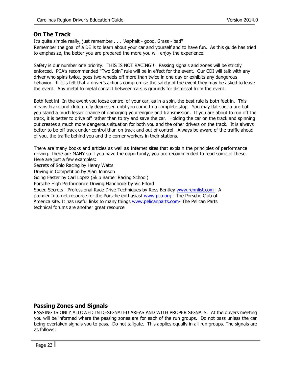## <span id="page-22-0"></span>**On The Track**

It's quite simple really, just remember . . . "Asphalt - good, Grass - bad" Remember the goal of a DE is to learn about your car and yourself and to have fun. As this guide has tried to emphasize, the better you are prepared the more you will enjoy the experience.

Safety is our number one priority. THIS IS NOT RACING!!! Passing signals and zones will be strictly enforced. PCA's recommended "Two Spin" rule will be in effect for the event. Our CDI will talk with any driver who spins twice, goes two-wheels off more than twice in one day or exhibits any dangerous behavior. If it is felt that a driver's actions compromise the safety of the event they may be asked to leave the event. Any metal to metal contact between cars is grounds for dismissal from the event.

Both feet in! In the event you loose control of your car, as in a spin, the best rule is both feet in. This means brake and clutch fully depressed until you come to a complete stop. You may flat spot a tire but you stand a much lesser chance of damaging your engine and transmission. If you are about to run off the track, it is better to drive off rather than to try and save the car. Holding the car on the track and spinning out creates a much more dangerous situation for both you and the other drivers on the track. It is always better to be off track under control than on track and out of control. Always be aware of the traffic ahead of you, the traffic behind you and the corner workers in their stations.

There are many books and articles as well as Internet sites that explain the principles of performance driving. There are MANY so if you have the opportunity, you are recommended to read some of these. Here are just a few examples:

Secrets of Solo Racing by Henry Watts

Driving in Competition by Alan Johnson

Going Faster by Carl Lopez (Skip Barber Racing School)

Porsche High Performance Driving Handbook by Vic Elford

Speed Secrets - Professional Race Drive Techniques by Ross Bentley [www.rennlist.com](http://www.rennlist.com/) [-](http://www.rennlist.com/) A

premier Internet resource for the Porsche enthusiast [www.pca.org](http://www.pca.org/) - The Porsche Club of America site. It has useful links to many things www.pelicanparts.com- The Pelican Parts technical forums are another great resource

# <span id="page-22-1"></span>**Passing Zones and Signals**

PASSING IS ONLY ALLOWED IN DESIGNATED AREAS AND WITH PROPER SIGNALS. At the drivers meeting you will be informed where the passing zones are for each of the run groups. Do not pass unless the car being overtaken signals you to pass. Do not tailgate. This applies equally in all run groups. The signals are as follows: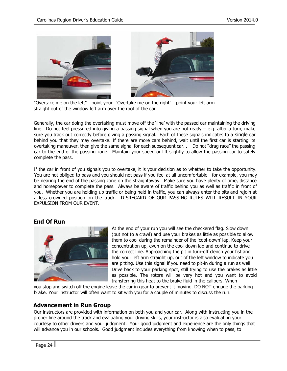

"Overtake me on the left" - point your "Overtake me on the right" - point your left arm straight out of the window left arm over the roof of the car

Generally, the car doing the overtaking must move off the 'line' with the passed car maintaining the driving line. Do not feel pressured into giving a passing signal when you are not ready – e.g. after a turn, make sure you track out correctly before giving a passing signal. Each of these signals indicates to a single car behind you that they may overtake. If there are more cars behind, wait until the first car is starting its overtaking maneuver, then give the same signal for each subsequent car. . Do not "drag race" the passing car to the end of the passing zone. Maintain your speed or lift slightly to allow the passing car to safely complete the pass.

If the car in front of you signals you to overtake, it is your decision as to whether to take the opportunity. You are not obliged to pass and you should not pass if you feel at all uncomfortable - for example, you may be nearing the end of the passing zone on the straightaway. Make sure you have plenty of time, distance and horsepower to complete the pass. Always be aware of traffic behind you as well as traffic in front of you. Whether you are holding up traffic or being held in traffic, you can always enter the pits and rejoin at a less crowded position on the track. DISREGARD OF OUR PASSING RULES WILL RESULT IN YOUR EXPULSION FROM OUR EVENT.

#### <span id="page-23-0"></span>**End Of Run**



At the end of your run you will see the checkered flag. Slow down (but not to a crawl) and use your brakes as little as possible to allow them to cool during the remainder of the 'cool-down' lap. Keep your concentration up, even on the cool-down lap and continue to drive the correct line. Approaching the pit in turn-off clench your fist and hold your left arm straight up, out of the left window to indicate you are pitting. Use this signal if you need to pit-in during a run as well. Drive back to your parking spot, still trying to use the brakes as little as possible. The rotors will be very hot and you want to avoid transferring this heat to the brake fluid in the calipers. When

you stop and switch off the engine leave the car in gear to prevent it moving. DO NOT engage the parking brake. Your instructor will often want to sit with you for a couple of minutes to discuss the run.

#### **Advancement in Run Group**

Our instructors are provided with information on both you and your car. Along with instructing you in the proper line around the track and evaluating your driving skills, your instructor is also evaluating your courtesy to other drivers and your judgment. Your good judgment and experience are the only things that will advance you in our schools. Good judgment includes everything from knowing when to pass, to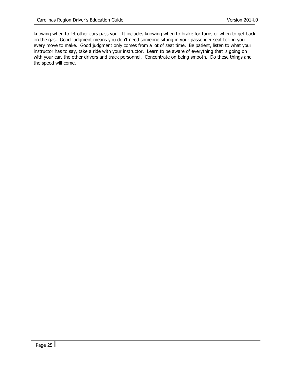knowing when to let other cars pass you. It includes knowing when to brake for turns or when to get back on the gas. Good judgment means you don't need someone sitting in your passenger seat telling you every move to make. Good judgment only comes from a lot of seat time. Be patient, listen to what your instructor has to say, take a ride with your instructor. Learn to be aware of everything that is going on with your car, the other drivers and track personnel. Concentrate on being smooth. Do these things and the speed will come.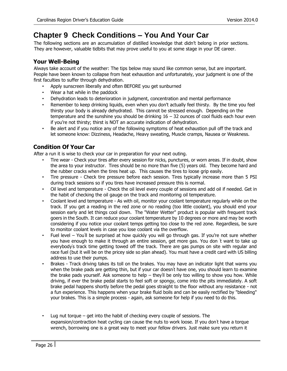# <span id="page-25-0"></span>**Chapter 9 Check Conditions – You And Your Car**

The following sections are an accumulation of distilled knowledge that didn't belong in prior sections. They are however, valuable tidbits that may prove useful to you at some stage in your DE career.

# <span id="page-25-1"></span>**Your Well-Being**

Always take account of the weather: The tips below may sound like common sense, but are important. People have been known to collapse from heat exhaustion and unfortunately, your judgment is one of the first faculties to suffer through dehydration.

- Apply sunscreen liberally and often BEFORE you get sunburned
- Wear a hat while in the paddock
- Dehydration leads to deterioration in judgment, concentration and mental performance
- Remember to keep drinking liquids, even when you don't actually feel thirsty. By the time you feel thirsty your body is already dehydrated. This cannot be stressed enough. Depending on the temperature and the sunshine you should be drinking  $16 - 32$  ounces of cool fluids each hour even if you're not thirsty; thirst is NOT an accurate indication of dehydration.
- Be alert and if you notice any of the following symptoms of heat exhaustion pull off the track and let someone know: Dizziness, Headache, Heavy sweating, Muscle cramps, Nausea or Weakness.

# <span id="page-25-2"></span>**Condition Of Your Car**

After a run it is wise to check your car in preparation for your next outing.

- Tire wear Check your tires after every session for nicks, punctures, or worn areas. If in doubt, show the area to your instructor. Tires should be no more than five (5) years old. They become hard and the rubber cracks when the tires heat up. This causes the tires to loose grip easily.
- Tire pressure Check tire pressure before each session. Tires typically increase more than 5 PSI during track sessions so if you tires have increased pressure this is normal.
- Oil level and temperature Check the oil level every couple of sessions and add oil if needed. Get in the habit of checking the oil gauge on the track and monitoring oil temperature.
- Coolant level and temperature As with oil, monitor your coolant temperature regularly while on the track. If you get a reading in the red zone or no reading (too little coolant), you should end your session early and let things cool down. The "Water Wetter" product is popular with frequent track goers in the South. It can reduce your coolant temperature by 10 degrees or more and may be worth considering if you notice your coolant temps getting too close to the red zone. Regardless, be sure to monitor coolant levels in case you lose coolant via the overflow.
- Fuel level You'll be surprised at how quickly you will go through gas. If you're not sure whether you have enough to make it through an entire session, get more gas. You don ' t want to take up everybody' s track time getting towed off the track. There are gas pumps on site with regular and race fuel (but it will be on the pricey side so plan ahead). You must have a credit card with US billing address to use their pumps.
- Brakes Track driving takes its toll on the brakes. You may have an indicator light that warns you when the brake pads are getting thin, but if your car doesn't have one, you should learn to examine the brake pads yourself. Ask someone to help – they'll be only too willing to show you how. While driving, if ever the brake pedal starts to feel soft or spongy, come into the pits immediately. A soft brake pedal happens shortly before the pedal goes straight to the floor without any resistance - not a fun experience. This happens when your brake fluid boils and can be easily rectified by "bleeding" your brakes. This is a simple process - again, ask someone for help if you need to do this.
- Lug nut torque  $-$  get into the habit of checking every couple of sessions. The expansion/contraction heat cycling can cause the nuts to work loose. If you don't have a torque wrench, borrowing one is a great way to meet your fellow drivers. Just make sure you return it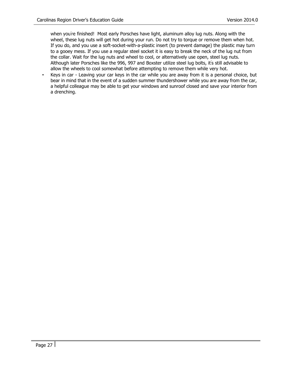when you're finished! Most early Porsches have light, aluminum alloy lug nuts. Along with the wheel, these lug nuts will get hot during your run. Do not try to torque or remove them when hot. If you do, and you use a soft-socket-with-a-plastic insert (to prevent damage) the plastic may turn to a gooey mess. If you use a regular steel socket it is easy to break the neck of the lug nut from the collar. Wait for the lug nuts and wheel to cool, or alternatively use open, steel lug nuts. Although later Porsches like the 996, 997 and Boxster utilize steel lug bolts, it' s still advisable to allow the wheels to cool somewhat before attempting to remove them while very hot.

Keys in car - Leaving your car keys in the car while you are away from it is a personal choice, but bear in mind that in the event of a sudden summer thundershower while you are away from the car, a helpful colleague may be able to get your windows and sunroof closed and save your interior from a drenching.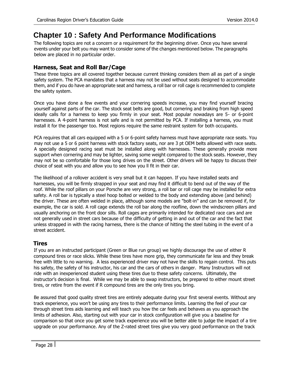# <span id="page-27-0"></span>**Chapter 10 : Safety And Performance Modifications**

The following topics are not a concern or a requirement for the beginning driver. Once you have several events under your belt you may want to consider some of the changes mentioned below. The paragraphs below are placed in no particular order.

# <span id="page-27-1"></span>**Harness, Seat and Roll Bar/Cage**

These three topics are all covered together because current thinking considers them all as part of a single safety system. The PCA mandates that a harness may not be used without seats designed to accommodate them, and if you do have an appropriate seat and harness, a roll bar or roll cage is recommended to complete the safety system.

Once you have done a few events and your cornering speeds increase, you may find yourself bracing yourself against parts of the car. The stock seat belts are good, but cornering and braking from high speed ideally calls for a harness to keep you firmly in your seat. Most popular nowadays are 5- or 6-point harnesses. A 4-point harness is not safe and is not permitted by PCA. If installing a harness, you must install it for the passenger too. Most regions require the same restraint system for both occupants.

PCA requires that all cars equipped with a 5 or 6-point safety harness must have appropriate race seats. You may not use a 5 or 6 point harness with stock factory seats, nor are 3 pt OEM belts allowed with race seats. A specially designed racing seat must be installed along with harnesses. These generally provide more support when cornering and may be lighter, saving some weight compared to the stock seats. However, they may not be so comfortable for those long drives on the street. Other drivers will be happy to discuss their choice of seat with you and allow you to see how you ll fit in their car.

The likelihood of a rollover accident is very small but it can happen. If you have installed seats and harnesses, you will be firmly strapped in your seat and may find it difficult to bend out of the way of the roof. While the roof pillars on your Porsche are very strong, a roll bar or roll cage may be installed for extra safety. A roll bar is typically a steel hoop bolted or welded to the body and extending above (and behind) the driver. These are often welded in place, although some models are "bolt-in" and can be removed if, for example, the car is sold. A roll cage extends the roll bar along the roofline, down the windscreen pillars and usually anchoring on the front door sills. Roll cages are primarily intended for dedicated race cars and are not generally used in street cars because of the difficulty of getting in and out of the car and the fact that unless strapped in with the racing harness, there is the chance of hitting the steel tubing in the event of a street accident.

# <span id="page-27-2"></span>**Tires**

If you are an instructed participant (Green or Blue run group) we highly discourage the use of either R compound tires or race slicks. While these tires have more grip, they communicate far less and they break free with little to no warning. A less experienced driver may not have the skills to regain control. This puts his safety, the safety of his instructor, his car and the cars of others in danger. Many Instructors will not ride with an inexperienced student using these tires due to these safety concerns. Ultimately, the instructor's decision is final. While we may be able to swap instructors, be prepared to either mount street tires, or retire from the event if R compound tires are the only tires you bring.

Be assured that good quality street tires are entirely adequate during your first several events. Without any track experience, you won't be using any tires to their performance limits. Learning the feel of your car through street tires aids learning and will teach you how the car feels and behaves as you approach the limits of adhesion. Also, starting out with your car in stock configuration will give you a baseline for comparison so that once you get some track experience you will be better able to judge the impact of a tire upgrade on your performance. Any of the Z-rated street tires give you very good performance on the track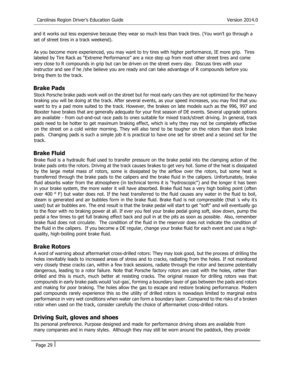and it works out less expensive because they wear so much less than track tires. (You won't go through a set of street tires in a track weekend).

As you become more experienced, you may want to try tires with higher performance, IE more grip. Tires labeled by Tire Rack as "Extreme Performance" are a nice step up from most other street tires and come very close to R compounds in grip but can be driven on the street every day. Discuss tires with your instructor and see if he /she believe you are ready and can take advantage of R compounds before you bring them to the track.

#### <span id="page-28-0"></span>**Brake Pads**

Stock Porsche brake pads work well on the street but for most early cars they are not optimized for the heavy braking you will be doing at the track. After several events, as your speed increases, you may find that you want to try a pad more suited to the track. However, the brakes on late models such as the 996, 997 and Boxster have brakes that are generally adequate for your first season of DE events. Several upgrade options are available - from out-and-out race pads to ones suitable for mixed track/street driving. In general, track pads need to be hotter to get maximum braking effect, which is why they may not be completely effective on the street on a cold winter morning. They will also tend to be tougher on the rotors than stock brake pads. Changing pads is such a simple job it is practical to have one set for street and a second set for the track.

#### <span id="page-28-1"></span>**Brake Fluid**

Brake fluid is a hydraulic fluid used to transfer pressure on the brake pedal into the clamping action of the brake pads onto the rotors. Driving at the track causes brakes to get very hot. Some of the heat is dissipated by the large metal mass of rotors, some is dissipated by the airflow over the rotors, but some heat is transferred through the brake pads to the calipers and the brake fluid in the calipers. Unfortunately, brake fluid absorbs water from the atmosphere (in technical terms it is "hydroscopic") and the longer it has been in your brake system, the more water it will have absorbed. Brake fluid has a very high boiling point (often over 400 ° F) but water does not. If the heat transferred to the fluid causes any water in the fluid to boil, steam is generated and air bubbles form in the brake fluid. Brake fluid is not compressible (that 's why it's used) but air bubbles are. The end result is that the brake pedal will start to get "soft" and will eventually go to the floor with no braking power at all. If ever you feel your brake pedal going soft, slow down, pump the pedal a few times to get full braking effect back and pull in at the pits as soon as possible. Also, remember brake fluid does not circulate. The condition of the fluid in the reservoir does not indicate the condition of the fluid in the calipers. If you become a DE regular, change your brake fluid for each event and use a highquality, high-boiling point brake fluid.

#### <span id="page-28-2"></span>**Brake Rotors**

A word of warning about aftermarket cross-drilled rotors: They may look good, but the process of drilling the holes inevitably leads to increased areas of stress and to cracks, radiating from the holes. If not monitored very closely these cracks can, within a few track sessions, radiate through the rotor and become potentially dangerous, leading to a rotor failure. Note that Porsche factory rotors are cast with the holes, rather than drilled and this is much, much better at resisting cracks. The original reason for drilling rotors was that compounds in early brake pads would 'out-gas' , forming a boundary layer of gas between the pads and rotors and making for poor braking. The holes allow the gas to escape and restore braking performance. Modern pad compounds rarely experience this so the utility of drilled rotors is nowadays limited to marginal extra performance in very wet conditions when water can form a boundary layer. Compared to the risks of a broken rotor when used on the track, consider carefully the choice of aftermarket cross-drilled rotors.

#### <span id="page-28-3"></span>**Driving Suit, gloves and shoes**

Its personal preference. Purpose designed and made for performance driving shoes are available from many companies and in many styles. Although they may still be worn around the paddock, they provide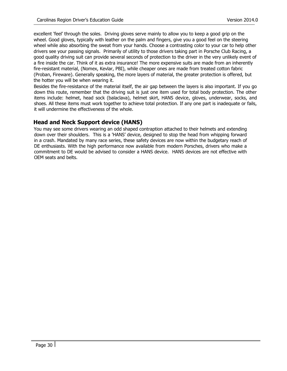excellent 'feel' through the soles. Driving gloves serve mainly to allow you to keep a good grip on the wheel. Good gloves, typically with leather on the palm and fingers, give you a good feel on the steering wheel while also absorbing the sweat from your hands. Choose a contrasting color to your car to help other drivers see your passing signals. Primarily of utility to those drivers taking part in Porsche Club Racing, a good quality driving suit can provide several seconds of protection to the driver in the very unlikely event of a fire inside the car. Think of it as extra insurance! The more expensive suits are made from an inherently fire-resistant material, (Nomex, Kevlar, PBI), while cheaper ones are made from treated cotton fabric (Proban, Fireware). Generally speaking, the more layers of material, the greater protection is offered, but the hotter you will be when wearing it.

Besides the fire-resistance of the material itself, the air gap between the layers is also important. If you go down this route, remember that the driving suit is just one item used for total body protection. The other items include: helmet, head sock (balaclava), helmet skirt, HANS device, gloves, underwear, socks, and shoes. All these items must work together to achieve total protection. If any one part is inadequate or fails, it will undermine the effectiveness of the whole.

# <span id="page-29-0"></span>**Head and Neck Support device (HANS)**

You may see some drivers wearing an odd shaped contraption attached to their helmets and extending down over their shoulders. This is a 'HANS' device, designed to stop the head from whipping forward in a crash. Mandated by many race series, these safety devices are now within the budgetary reach of DE enthusiasts. With the high performance now available from modern Porsches, drivers who make a commitment to DE would be advised to consider a HANS device. HANS devices are not effective with OEM seats and belts.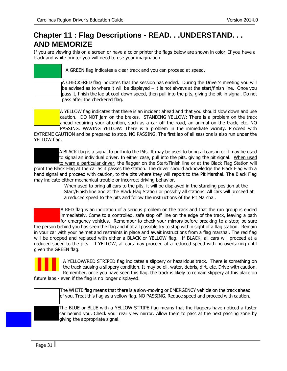# <span id="page-30-0"></span>**Chapter 11 : Flag Descriptions - READ. . .UNDERSTAND. . . AND MEMORIZE**

If you are viewing this on a screen or have a color printer the flags below are shown in color. If you have a black and white printer you will need to use your imagination.

| A GREEN flag indicates a clear track and you can proceed at speed.                                                                                                                                                                                                                                                                            |
|-----------------------------------------------------------------------------------------------------------------------------------------------------------------------------------------------------------------------------------------------------------------------------------------------------------------------------------------------|
| A CHECKERED flag indicates that the session has ended. During the Driver's meeting you will<br>be advised as to where it will be displayed $-$ it is not always at the start/finish line. Once you<br>pass it, finish the lap at cool-down speed, then pull into the pits, giving the pit-in signal. Do not<br>pass after the checkered flag. |

A YELLOW flag indicates that there is an incident ahead and that you should slow down and use caution. DO NOT jam on the brakes. STANDING YELLOW: There is a problem on the track ahead requiring your attention, such as a car off the road, an animal on the track, etc. NO PASSING. WAVING YELLOW: There is a problem in the immediate vicinity. Proceed with

EXTREME CAUTION and be prepared to stop. NO PASSING. The first lap of all sessions is also run under the YELLOW flag.



point the Black Flag at the car as it passes the station. The driver should acknowledge the Black Flag with a hand signal and proceed with caution, to the pits where they will report to the Pit Marshal. The Black Flag may indicate either mechanical trouble or incorrect driving behavior.

> When used to bring all cars to the pits, it will be displayed in the standing position at the Start/Finish line and at the Black Flag Station or possibly all stations. All cars will proceed at a reduced speed to the pits and follow the instructions of the Pit Marshal.

A RED flag is an indication of a serious problem on the track and that the run group is ended immediately. Come to a controlled, safe stop off line on the edge of the track, leaving a path for emergency vehicles. Remember to check your mirrors before breaking to a stop; be sure the person behind you has seen the flag and if at all possible try to stop within sight of a flag station. Remain in your car with your helmet and restraints in place and await instructions from a flag marshal. The red flag will be dropped and replaced with either a BLACK or YELLOW flag. If BLACK, all cars will proceed at a reduced speed to the pits. If YELLOW, all cars may proceed at a reduced speed with no overtaking until given the GREEN flag.



A YELLOW/RED STRIPED flag indicates a slippery or hazardous track. There is something on the track causing a slippery condition. It may be oil, water, debris, dirt, etc. Drive with caution. Remember, once you have seen this flag, the track is likely to remain slippery at this place on

future laps - even if the flag is no longer displayed.

The WHITE flag means that there is a slow-moving or EMERGENCY vehicle on the track ahead of you. Treat this flag as a yellow flag. NO PASSING. Reduce speed and proceed with caution.

The BLUE or BLUE with a YELLOW STRIPE flag means that the flaggers have noticed a faster car behind you. Check your rear view mirror. Allow them to pass at the next passing zone by giving the appropriate signal.